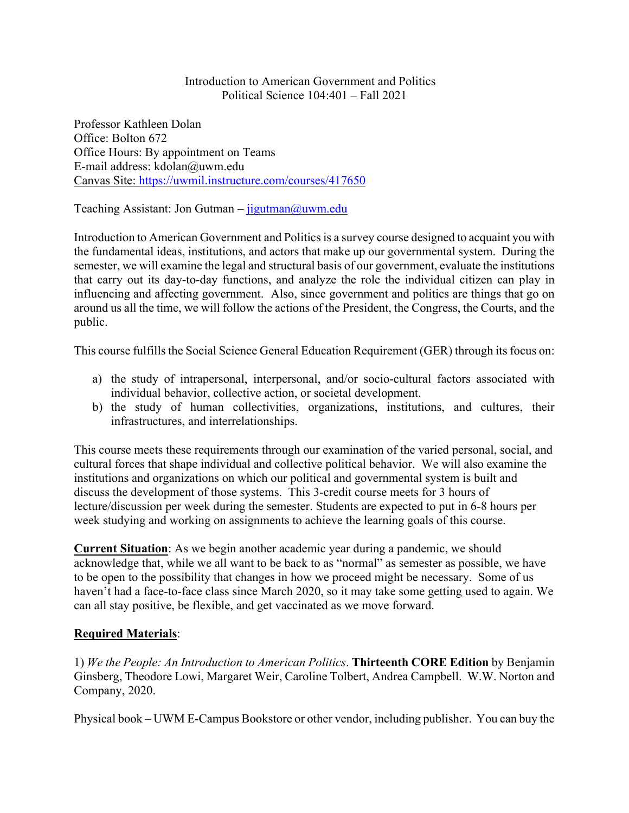Introduction to American Government and Politics Political Science 104:401 – Fall 2021

Professor Kathleen Dolan Office: Bolton 672 Office Hours: By appointment on Teams E-mail address: kdolan@uwm.edu Canvas Site: https://uwmil.instructure.com/courses/417650

Teaching Assistant: Jon Gutman –  $ijgutman@uum.edu$ 

Introduction to American Government and Politics is a survey course designed to acquaint you with the fundamental ideas, institutions, and actors that make up our governmental system. During the semester, we will examine the legal and structural basis of our government, evaluate the institutions that carry out its day-to-day functions, and analyze the role the individual citizen can play in influencing and affecting government. Also, since government and politics are things that go on around us all the time, we will follow the actions of the President, the Congress, the Courts, and the public.

This course fulfills the Social Science General Education Requirement (GER) through its focus on:

- a) the study of intrapersonal, interpersonal, and/or socio-cultural factors associated with individual behavior, collective action, or societal development.
- b) the study of human collectivities, organizations, institutions, and cultures, their infrastructures, and interrelationships.

This course meets these requirements through our examination of the varied personal, social, and cultural forces that shape individual and collective political behavior. We will also examine the institutions and organizations on which our political and governmental system is built and discuss the development of those systems. This 3-credit course meets for 3 hours of lecture/discussion per week during the semester. Students are expected to put in 6-8 hours per week studying and working on assignments to achieve the learning goals of this course.

**Current Situation**: As we begin another academic year during a pandemic, we should acknowledge that, while we all want to be back to as "normal" as semester as possible, we have to be open to the possibility that changes in how we proceed might be necessary. Some of us haven't had a face-to-face class since March 2020, so it may take some getting used to again. We can all stay positive, be flexible, and get vaccinated as we move forward.

# **Required Materials**:

1) *We the People: An Introduction to American Politics*. **Thirteenth CORE Edition** by Benjamin Ginsberg, Theodore Lowi, Margaret Weir, Caroline Tolbert, Andrea Campbell. W.W. Norton and Company, 2020.

Physical book – UWM E-Campus Bookstore or other vendor, including publisher. You can buy the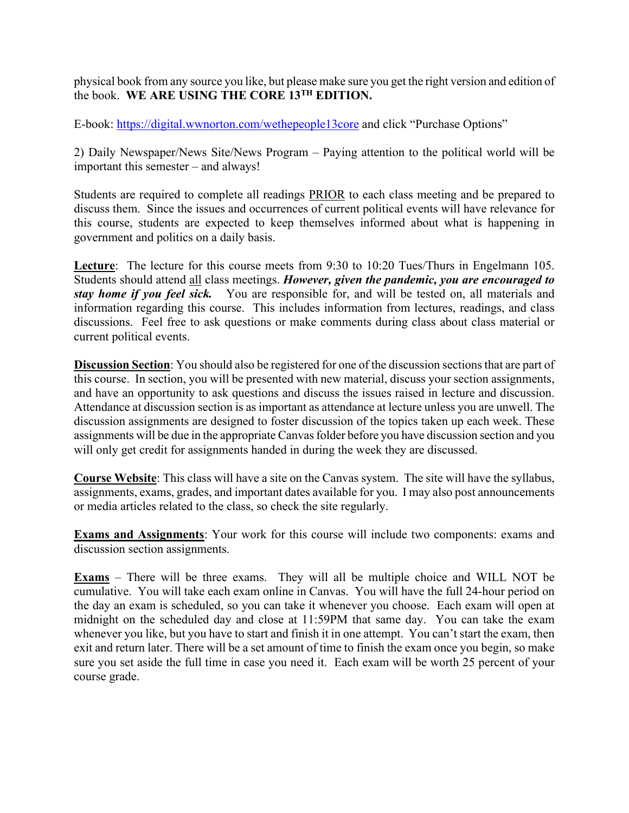physical book from any source you like, but please make sure you get the right version and edition of the book. **WE ARE USING THE CORE 13TH EDITION.** 

E-book: https://digital.wwnorton.com/wethepeople13core and click "Purchase Options"

2) Daily Newspaper/News Site/News Program – Paying attention to the political world will be important this semester – and always!

Students are required to complete all readings PRIOR to each class meeting and be prepared to discuss them. Since the issues and occurrences of current political events will have relevance for this course, students are expected to keep themselves informed about what is happening in government and politics on a daily basis.

**Lecture**: The lecture for this course meets from 9:30 to 10:20 Tues/Thurs in Engelmann 105. Students should attend all class meetings. *However, given the pandemic, you are encouraged to stay home if you feel sick.* You are responsible for, and will be tested on, all materials and information regarding this course. This includes information from lectures, readings, and class discussions. Feel free to ask questions or make comments during class about class material or current political events.

**Discussion Section**: You should also be registered for one of the discussion sections that are part of this course. In section, you will be presented with new material, discuss your section assignments, and have an opportunity to ask questions and discuss the issues raised in lecture and discussion. Attendance at discussion section is as important as attendance at lecture unless you are unwell. The discussion assignments are designed to foster discussion of the topics taken up each week. These assignments will be due in the appropriate Canvas folder before you have discussion section and you will only get credit for assignments handed in during the week they are discussed.

**Course Website**: This class will have a site on the Canvas system. The site will have the syllabus, assignments, exams, grades, and important dates available for you. I may also post announcements or media articles related to the class, so check the site regularly.

**Exams and Assignments**: Your work for this course will include two components: exams and discussion section assignments.

**Exams** – There will be three exams. They will all be multiple choice and WILL NOT be cumulative. You will take each exam online in Canvas. You will have the full 24-hour period on the day an exam is scheduled, so you can take it whenever you choose. Each exam will open at midnight on the scheduled day and close at 11:59PM that same day. You can take the exam whenever you like, but you have to start and finish it in one attempt. You can't start the exam, then exit and return later. There will be a set amount of time to finish the exam once you begin, so make sure you set aside the full time in case you need it. Each exam will be worth 25 percent of your course grade.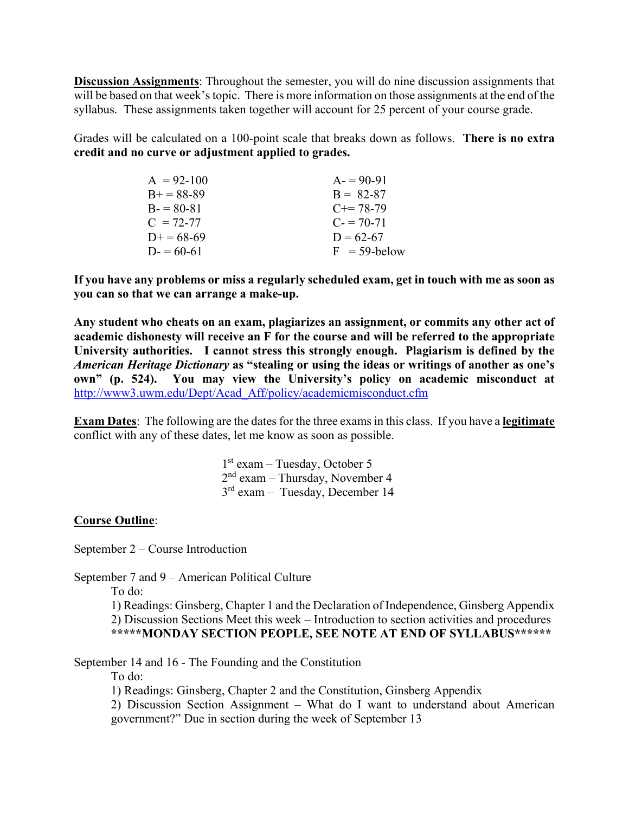**Discussion Assignments**: Throughout the semester, you will do nine discussion assignments that will be based on that week's topic. There is more information on those assignments at the end of the syllabus. These assignments taken together will account for 25 percent of your course grade.

Grades will be calculated on a 100-point scale that breaks down as follows. **There is no extra credit and no curve or adjustment applied to grades.** 

| $A = 92 - 100$ | $A = 90-91$     |
|----------------|-----------------|
| $B+=88-89$     | $B = 82-87$     |
| $B = 80-81$    | $C == 78-79$    |
| $C = 72-77$    | $C = 70-71$     |
| $D+=68-69$     | $D = 62 - 67$   |
| $D = 60-61$    | $F = 59$ -below |

**If you have any problems or miss a regularly scheduled exam, get in touch with me as soon as you can so that we can arrange a make-up.** 

**Any student who cheats on an exam, plagiarizes an assignment, or commits any other act of academic dishonesty will receive an F for the course and will be referred to the appropriate University authorities. I cannot stress this strongly enough. Plagiarism is defined by the**  *American Heritage Dictionary* **as "stealing or using the ideas or writings of another as one's own" (p. 524). You may view the University's policy on academic misconduct at** http://www3.uwm.edu/Dept/Acad\_Aff/policy/academicmisconduct.cfm

**Exam Dates**: The following are the dates for the three exams in this class. If you have a **legitimate**  conflict with any of these dates, let me know as soon as possible.

> $1<sup>st</sup>$  exam – Tuesday, October 5 2nd exam – Thursday, November 4 3rd exam – Tuesday, December 14

### **Course Outline**:

September 2 – Course Introduction

September 7 and 9 – American Political Culture

To do:

 1) Readings: Ginsberg, Chapter 1 and the Declaration of Independence, Ginsberg Appendix 2) Discussion Sections Meet this week – Introduction to section activities and procedures **\*\*\*\*\*MONDAY SECTION PEOPLE, SEE NOTE AT END OF SYLLABUS\*\*\*\*\*\*** 

September 14 and 16 - The Founding and the Constitution

To do:

1) Readings: Ginsberg, Chapter 2 and the Constitution, Ginsberg Appendix

2) Discussion Section Assignment – What do I want to understand about American government?" Due in section during the week of September 13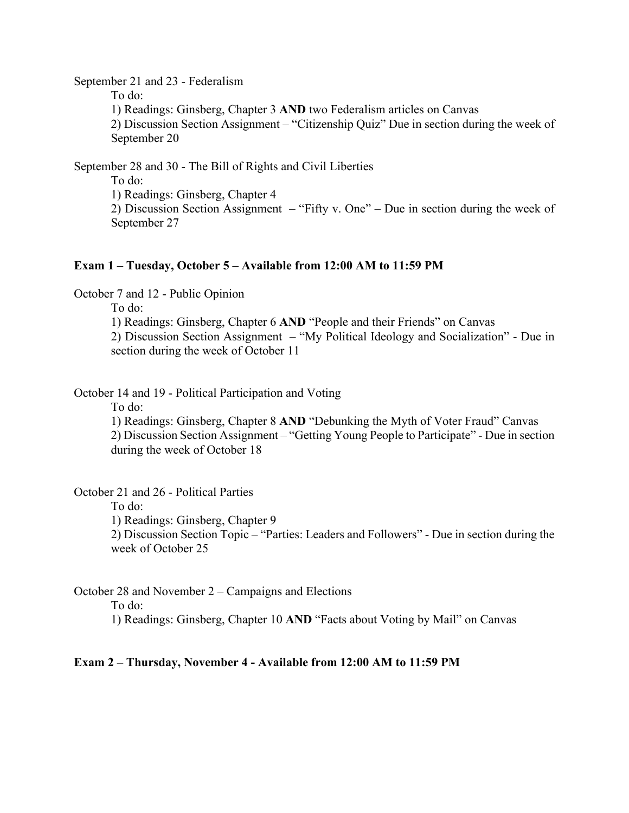September 21 and 23 - Federalism

To do:

1) Readings: Ginsberg, Chapter 3 **AND** two Federalism articles on Canvas

2) Discussion Section Assignment – "Citizenship Quiz" Due in section during the week of September 20

September 28 and 30 - The Bill of Rights and Civil Liberties

To do:

1) Readings: Ginsberg, Chapter 4

2) Discussion Section Assignment – "Fifty v. One" – Due in section during the week of September 27

#### **Exam 1 – Tuesday, October 5 – Available from 12:00 AM to 11:59 PM**

October 7 and 12 - Public Opinion

To do:

1) Readings: Ginsberg, Chapter 6 **AND** "People and their Friends" on Canvas

 2) Discussion Section Assignment – "My Political Ideology and Socialization" - Due in section during the week of October 11

October 14 and 19 - Political Participation and Voting

To do:

1) Readings: Ginsberg, Chapter 8 **AND** "Debunking the Myth of Voter Fraud" Canvas 2) Discussion Section Assignment – "Getting Young People to Participate" - Due in section during the week of October 18

October 21 and 26 - Political Parties

To do:

1) Readings: Ginsberg, Chapter 9

 2) Discussion Section Topic – "Parties: Leaders and Followers" - Due in section during the week of October 25

October 28 and November 2 – Campaigns and Elections

To do:

1) Readings: Ginsberg, Chapter 10 **AND** "Facts about Voting by Mail" on Canvas

#### **Exam 2 – Thursday, November 4 - Available from 12:00 AM to 11:59 PM**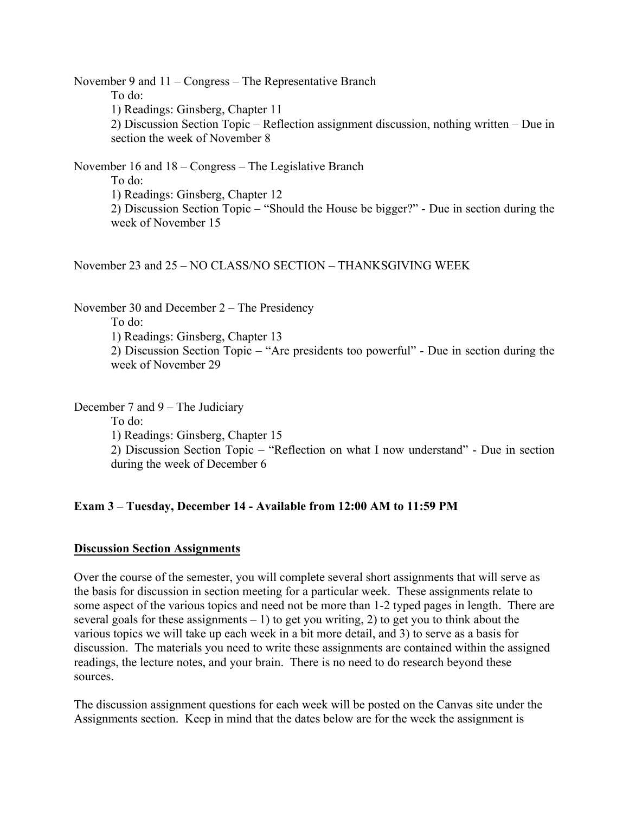November 9 and 11 – Congress – The Representative Branch To do: 1) Readings: Ginsberg, Chapter 11 2) Discussion Section Topic – Reflection assignment discussion, nothing written – Due in section the week of November 8

November 16 and 18 – Congress – The Legislative Branch To do: 1) Readings: Ginsberg, Chapter 12 2) Discussion Section Topic – "Should the House be bigger?" - Due in section during the week of November 15

November 23 and 25 – NO CLASS/NO SECTION – THANKSGIVING WEEK

November 30 and December 2 – The Presidency To do: 1) Readings: Ginsberg, Chapter 13 2) Discussion Section Topic – "Are presidents too powerful" - Due in section during the week of November 29

December 7 and 9 – The Judiciary

To do:

1) Readings: Ginsberg, Chapter 15

 2) Discussion Section Topic – "Reflection on what I now understand" - Due in section during the week of December 6

### **Exam 3 – Tuesday, December 14 - Available from 12:00 AM to 11:59 PM**

### **Discussion Section Assignments**

Over the course of the semester, you will complete several short assignments that will serve as the basis for discussion in section meeting for a particular week. These assignments relate to some aspect of the various topics and need not be more than 1-2 typed pages in length. There are several goals for these assignments  $-1$ ) to get you writing, 2) to get you to think about the various topics we will take up each week in a bit more detail, and 3) to serve as a basis for discussion. The materials you need to write these assignments are contained within the assigned readings, the lecture notes, and your brain. There is no need to do research beyond these sources.

The discussion assignment questions for each week will be posted on the Canvas site under the Assignments section. Keep in mind that the dates below are for the week the assignment is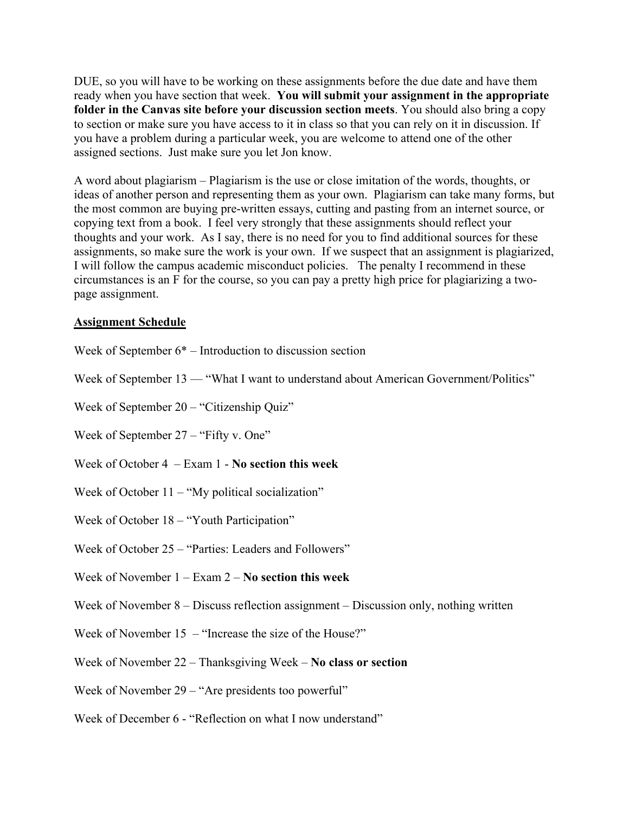DUE, so you will have to be working on these assignments before the due date and have them ready when you have section that week. **You will submit your assignment in the appropriate folder in the Canvas site before your discussion section meets**. You should also bring a copy to section or make sure you have access to it in class so that you can rely on it in discussion. If you have a problem during a particular week, you are welcome to attend one of the other assigned sections. Just make sure you let Jon know.

A word about plagiarism – Plagiarism is the use or close imitation of the words, thoughts, or ideas of another person and representing them as your own. Plagiarism can take many forms, but the most common are buying pre-written essays, cutting and pasting from an internet source, or copying text from a book. I feel very strongly that these assignments should reflect your thoughts and your work. As I say, there is no need for you to find additional sources for these assignments, so make sure the work is your own. If we suspect that an assignment is plagiarized, I will follow the campus academic misconduct policies. The penalty I recommend in these circumstances is an F for the course, so you can pay a pretty high price for plagiarizing a twopage assignment.

## **Assignment Schedule**

- Week of September 6\* Introduction to discussion section
- Week of September 13 "What I want to understand about American Government/Politics"
- Week of September 20 "Citizenship Quiz"
- Week of September 27 "Fifty v. One"
- Week of October 4 Exam 1 **No section this week**
- Week of October  $11 -$ "My political socialization"
- Week of October 18 "Youth Participation"
- Week of October 25 "Parties: Leaders and Followers"
- Week of November 1 Exam 2 **No section this week**
- Week of November 8 Discuss reflection assignment Discussion only, nothing written
- Week of November  $15 -$  "Increase the size of the House?"
- Week of November 22 Thanksgiving Week **No class or section**
- Week of November 29 "Are presidents too powerful"
- Week of December 6 "Reflection on what I now understand"